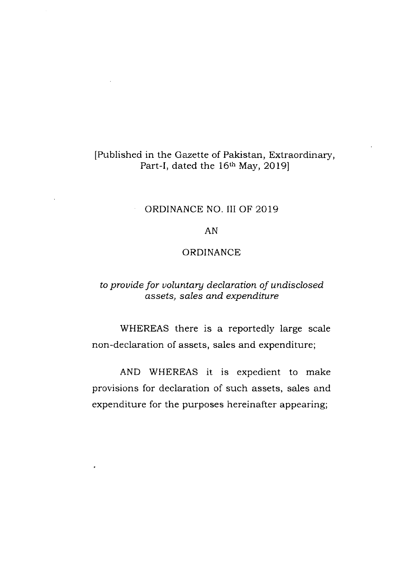# [Published in the Gazelte of Pakistan, Extraordinary, Part-I, dated the 16<sup>th</sup> May, 2019]

# ORDINANCE NO. III OF 2019

# AN

# ORDINANCE

# to prouide for uoluntary declaration of undisclosed assets, sales and expendifire

WHEREAS there is a reportedly large scale non-declaration of assets, sales and expenditure;

AND WHEREAS it is expedient to make provisions for declaration of such assets, sales and expenditure for the purposes hereinafter appearing;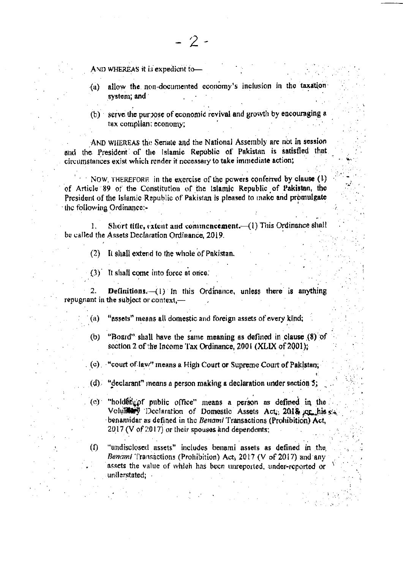AND WHEREAS it is expedient to-

allow the non-documented economy's inclusion in the taxation  $(a)$ system; and

(b) serve the purpose of economic revival and growth by encouraging a tax compliant economy;

AND WHEREAS the Senate and the National Assembly are not in session and the President of the Islamic Republic of Pakistan is satisfied that circumstances exist which render it necessary to take immediate action;

NOW, THEREFORE in the exercise of the powers conferred by clause (1) of Article 89 of the Constitution of the Islamic Republic of Pakistan, the President of the Islamic Republic of Pakistan is pleased to make and promulgate the following Ordinance:-

Short title, extent and commencement. (1) This Ordinance shall 1. be called the Assets Declaration Ordinance, 2019.

(2) It shall extend to the whole of Pakistan.

(3) It shall come into force at once.

**Definitions.**  $-(1)$  In this Ordinance, unless there is anything repugnant in the subject or context.-

"assets" means all domestic and foreign assets of every kind; (a)

"Board" shall have the same meaning as defined in clause (8) of  $(b)$ section 2 of the Income Tax Ordinance, 2001 (XLIX of 2001);

(c) "court of law" means a High Court or Supreme Court of Pakistan;

 $(d)$  "declarant" means a person making a declaration under section 5;

"holder of nublic office" means a person as defined in the  $(c)$ Voluitery Declaration of Domestic Assets Act, 2018 or his sa benamidar as defined in the Benami Transactions (Prohibition) Act,  $2017$  (V of 2017) or their spouses and dependents;

"undisclosed assets" includes benami assets as defined in the (f) Benami Transactions (Prohibition) Act,  $2017$  (V of  $2017$ ) and any assets the value of which has been unreported, under-reported or understated: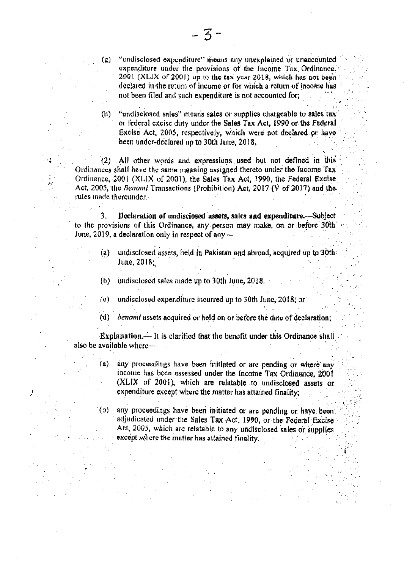"undisclosed expenditure" means any unexplained or unaccounted  $\left( \mathbf{g}\right)$ expenditure under the provisions of the Income Tax Ordinance. 2001 (XLIX of 2001) up to the tax year 2018, which has not been declared in the return of income or for which a return of income has not been filed and such expenditure is not accounted for.

"undisclosed sales" means sales or supplies chargeable to sales tax  $(h)$ or federal excise duty under the Sales Tax Act, 1990 or the Federal Excise Act, 2005, respectively, which were not declared or have been under-declared up to 30th June. 2018.

(2) All other words and expressions used but not defined in this Ordinances shall have the same meaning assigned thereto under the Income Tax Ordinance, 2001 (XLIX of 2001), the Sales Tax Act, 1990, the Federal Excise Act, 2005, the Benami Transactions (Prohibition) Act, 2017 ( $\dot{V}$  of 2017) and the rules made thereunder

Declaration of undisciosed assets, sales and expenditure.-Subject  $3<sub>1</sub>$ to the provisions of this Ordinance, any person may make, on or before 30th June, 2019, a declaration only in respect of any-

- undisclosed assets, held in Pakistan and abroad, acquired up to 30th  $(a)$ June, 2018;
- undisclosed sales made up to 30th June, 2018.  $(b)$
- (c) undisclosed expenditure incurred up to 30th June, 2018; or
- (d) benami assets acquired or held on or before the date of declaration;

Explanation.--- It is clarified that the benefit under this Ordinance shall also be available where-

- $\left( a\right)$ any proceedings have been initiated or are pending or where any income has been assessed under the Income Tax Ordinance, 2001 (XLIX of 2001), which are relatable to undisclosed assets or expenditure except where the matter has attained finality:
- any proceedings have been initiated or are pending or have been.  $(b)$ adjudicated under the Sales Tax Act, 1990, or the Federal Excise Act, 2005, which are relatable to any undisclosed sales or supplies except where the matter has attained finality.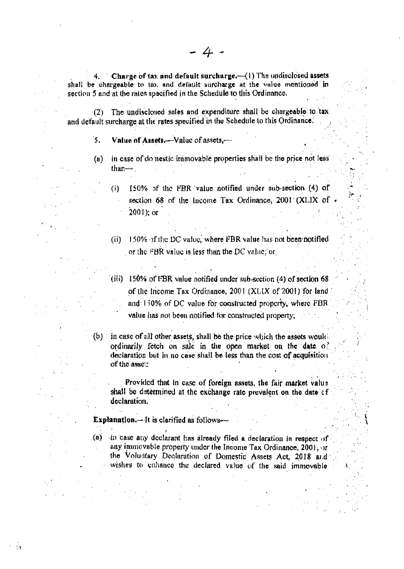$4.$  Charge of tax and default surcharge.  $-(1)$  The undisclosed assets. shall be chargeable to tax and default surcharge at the value mentioned in section 5 and at the rates specified in the Schedule to this Ordinance.

- 4

The undisclosed sales and expenditure shall be chargeable to tax  $(2)$ and default surcharge at the rates specified in the Schedule to this Ordinance.

`S. Value of Assets.-- Value of assets.-

in case of do nestic immovable properties shall be the price not less  $(u)$ than- $\overline{\phantom{a}}$ 

150% of the FBR value notified under sub-section (4) of  $(i)$ section 68 of the Income Tax Ordinance, 2001 (XLIX of  $2001$ ); or

(ii) 150% of the DC value, where FBR value has not been notified or the FBR value is less than the DC value; or

- (iii) 150% of FBR value notified under sub-section (4) of section 68 of the Income Tax Ordinance, 2001 (XUIX of 2001) for land and 150% of DC value for constructed property, where FBR value has not been notified for constructed property;
- (b) in case of all other assets, shall be the price which the assets would ordinarily fetch on sale in the open market on the date of declaration but in no case shall be less than the cost of acquisition of the asset.

Provided that in case of foreign assets, the fair market value shall be determined at the exchange rate prevalent on the date of declaration.

**Explanation.**-It is clarified as follows-

 $\ddot{\phantom{a}}$ 

(a) in case any declarant has already filed a declaration in respect of any immovable property under the Income Tax Ordinance, 2001, or the Voluntary Declaration of Domestic Assets Act, 2018 and wishes to cahance the declared value of the said immovable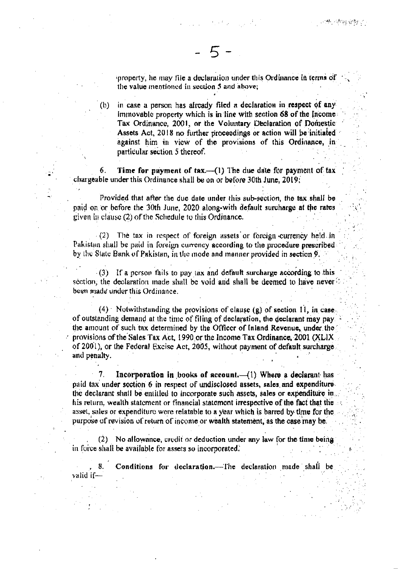property, he may file a declaration under this Ordinance in terms of the value mentioned in section 5 and above;

in case a person has already filed a declaration in respect of any  $(1)$ immovable property which is in line with section 68 of the Income Tax Ordinance, 2001, or the Voluntary Declaration of Domestic Assets Act, 2018 no further proceedings or action will be initiated against him in view of the provisions of this Ordinance, in particular section 5 thereof.

Time for payment of tax.-- (1) The due date for payment of tax 6. chargeable under this Ordinance shall be on or before 30th June, 2019;

Provided that after the due date under this sub-section, the tax shall be paid on or before the 30th June, 2020 along-with default surcharge at the rates given in clause (2) of the Schedule to this Ordinance.

 $(2)$  The tax in respect of foreign assets or foreign currency held in Pakistan shall be paid in foreign currency according to the procedure prescribed by the State Bank of Pakistan, in the mode and manner provided in section 9.

(3) If a person fails to pay tax and default surcharge according to this section, the declaration made shall be void and shall be deemed to have never  $\circ$ been made under this Ordinance.

 $(4)$  Notwithstanding the provisions of clause (g) of section 11, in case. of outstanding demand at the time of filing of declaration, the declarant may pay. the amount of such tax determined by the Officer of Inland Revenue, under the provisions of the Sales Tax Act, 1990 or the Income Tax Ordinance, 2001 (XLIX of 2001), or the Federal Excise Act, 2005, without payment of default surcharge. and penalty.

Incorporation in books of account. $(1)$  Where a declarant has 7. paid tax under soction 6 in respect of undisclosed assets, sales and expenditure. the declarant shall be entitled to incorporate such assets, sales or expenditure in his return, wealth statement or financial statement irrespective of the fact that the asset, sales or expenditure were relatable to a year which is barred by time for the purpose of revision of return of income or wealth statement, as the case may be.

(2) No allowance, credit or deduction under any law for the time being in force shall be available for assets so incorporated.

**S.** Conditions for declaration. The declaration made shall be valid if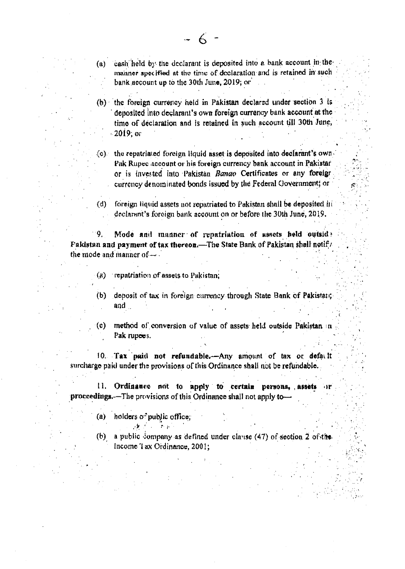(b) the foreign currency held in Pakistan declared under section 3 is deposited into declarant's own foreign currency bank account at the time of declaration and is retained in such account till 30th June, - 2019; or

 $(c)$  the repatriated foreign liquid asset is deposited into declarant's own. Pak Rupec account or his foreign currency bank account in Pakistar or is invested into Pakistan Banao Certificates or any foreign currency denominated bonds issued by the Federal Government; or

 $(d)$ foreign liquid assets not repatriated to Pakistan shall be deposited it declarant's foreign bank account on or before the 30th June, 2019.

 $\mathbf{Q}_1$ Mode and manner of repatriation of assets held outsid? Pakistan and payment of tax thereon.—The State Bank of Pakistan shall notify the mode and manner of  $-$ 

(a) repatriation of assets to Pakistan.

(b) deposit of tax in foreign currency through State Bank of Pakistan;  $and$ 

method of conversion of value of assets held outside Pakistan in  $\langle c \rangle$ Pak rupees.

10. Tax paid not refundable.-Any amount of tax or defacit surcharge paid under the provisions of this Ordinance shall not be refundable.

11. Ordinance not to apply to certain persons, assets proceedings.-The provisions of this Ordinance shall not apply to-

(a) holders of public office;

 $\mathcal{N}$  , where  $\mathcal{N}$  is the  $\mathcal{N}$ 

 $(b)$ a public company as defined under clause (47) of section 2 of the Income Tax Ordinance, 2001;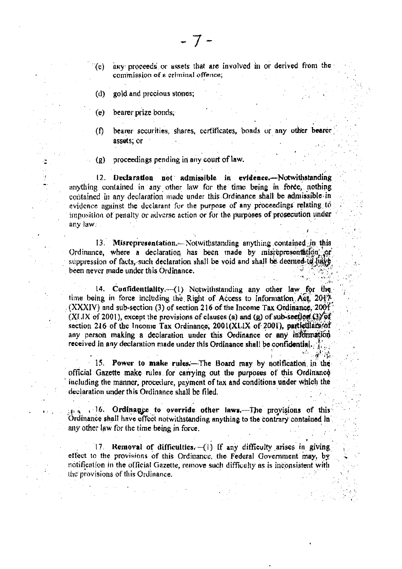- any proceeds or assets that are involved in or derived from the  $(c)$ commission of a criminal offence;
- $(d)$ gold and precious stones;
- bearer prize bonds.  $(e)$

C

bearer securities, shares, certificates, bonds or any other bearer  $\Omega$ assets, or

proceedings pending in any court of law.  $(g)$ 

Declaration not admissible in evidence.--Notwithstanding  $12.$ anything contained in any other law for the time being in force, nothing contained in any declaration made under this Ordinance shall be admissible in evidence against the declarant for the purpose of any proceedings relating to imposition of penalty or adverse action or for the purposes of prosecution under any law.

13. Misrepresentation.— Notwithstanding anything contained in this Ordinance, where a declaration has been made by misrepresentation or suppression of facts, such declaration shall be void and shall be deemed-to have been never made under this Ordinance.

14. Confidentiality.--(1) Notwithstanding any other law for the time being in force including the Right of Access to Information Act, 2017 (XXXIV) and sub-section (3) of section 216 of the Income Tax Ordinance, 2001 (XLIX of 2001), except the provisions of clauses (a) and (g) of sub-section  $(3)$  of section 216 of the Income Tax Ordinance, 2001(XLIX of 2001), particulars/of any person making a declaration under this Ordinance or any information received in any declaration made under this Ordinance shall be confidential.  $f_{\text{min}}$ 

15. Power to make rules.—The Board may by notification in the official Gazette make rules for carrying out the purposes of this Ordinance including the manner, procedure, payment of tax and conditions under which the declaration under this Ordinance shall be filed.

 $m^2$  (Sec.

. 16. Ordinance to override other laws.-The provisions of this Ordinance shall have effect notwithstanding anything to the contrary contained in any other law for the time being in force.

17. Removal of difficulties. (1) If any difficulty arises in giving effect to the provisions of this Ordinance, the Federal Government may, by notification in the official Gazette, remove such difficulty as is inconsistent with the provisions of this Ordinance.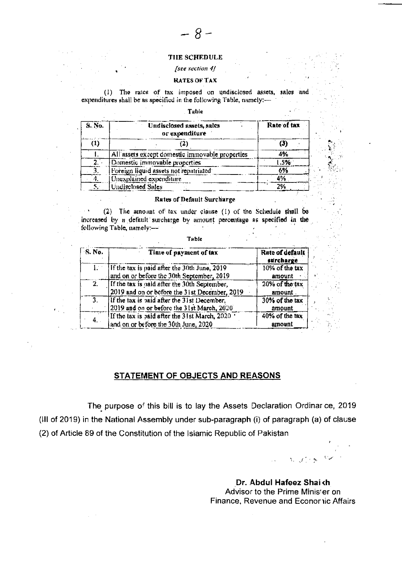#### THE SCHEDULE

 $-8-$ 

#### [see section 4]

### **RATES OF TAX**

The rates of tax imposed on undisclosed assets, sales and  $\left(1\right)$ expenditures shall be as specified in the following Table, namely:-

### Table

| S No. | Undisclosed assets, sales<br>or expenditure     | Rate of tax |  |
|-------|-------------------------------------------------|-------------|--|
|       |                                                 | (3)         |  |
|       | All assets except domestic immovable properties | 4%          |  |
|       | Domestic immovable properties                   | l 5%        |  |
|       | Foreign liquid assets not repatriated           | 6%          |  |
|       | Unexplained expenditure                         |             |  |
|       | Undisclosed Sales                               | 2%          |  |

#### Rates of Default Surcharge

(2) The amount of tax under clause (1) of the Schedule shall be increased by a default surcharge by amount percentage as specified in the following Table, namely:-

| <b>S. No.</b>    | Time of payment of tax                                                                        | Rate of default<br>surcharge |
|------------------|-----------------------------------------------------------------------------------------------|------------------------------|
| 1.               | If the tax is paid after the 30th June, 2019<br>and on or before the 30th September, 2019     | 10% of the tax<br>amount     |
| 2.               | If the tax is paid after the 30th September,<br>2019 and on or before the 31st December, 2019 | 20% of the tax<br>amount.    |
| $\overline{3}$ . | If the tax is baid after the 31st December,<br>2019 and on or before the 31st March, 2020     | 30% of the tax<br>amount     |
| 4.               | If the tax is paid after the 31st March, 2020<br>and on or before the 30th June, 2020         | 40% of the tax<br>amount     |

### Table

## STATEMENT OF OBJECTS AND REASONS

The purpose of this bill is to lay the Assets Declaration Ordinar ce, 2019 (III of 2019) in the National Assembly under sub-paragraph (i) of paragraph (a) of clause (2) of Article 89 of the Constitution of the Islamic Republic of Pakistan

キンライン

Dr. Abdul Hafeez Shaikh Advisor to the Prime Minister on Finance, Revenue and Econor iic Affairs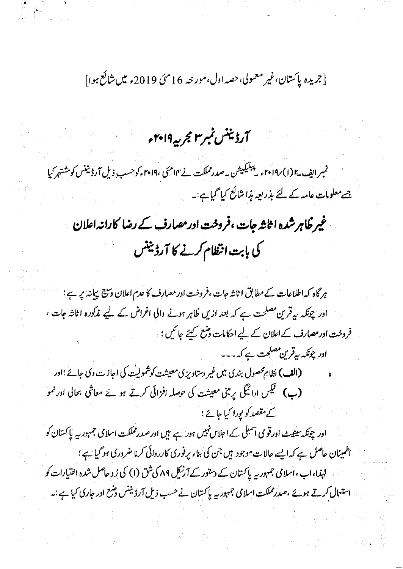[جريده پاکستان،غير معمولي،حصه اول،مور خه 16 مئ 2019ء ميں شائع ہوا]

آرڈیننس نمبر۳ مجربہ ۲۰۱۹ء

نمبر ایف ۱۵ (۱) ۲۰۱۹ مریپلیکیشن به صدرمملکت نے ۱۴ مئی ،۲۰۱۹ مرکوحسب ِ ذیل آرڈیننس کومشتہر کیا جےمعلومات عامہ کے لئے بذریعہ مذا شائع کیا گیاہے:۔

غیر ظاہر شدہ اثاثہ جات، فروخت ادر مصارف کے رضا کارانہ اعلان کی بابت انتظام کرنے کا آرڈینٹس

ہر گاہ کہ اطلاعات کے مطابق اثاثہ جات ،فروخت ادر مصارف کا عدم اعلان وسیح بیانہ پر ہے ؛ اور چونکہ بیہ قرین مصلحت ہے کہ بعد ازیں ظاہر ہونے دالی اغراض کے لیے مذکورہ اٹانٹہ جات ، فروخت ادر مصارف کے اعلان کے لیے احکامات وشع کہنے جا کیں ؛ ادر چونکہ بی**قرین مصلحت ہے کہ** ۔۔۔

(الف) نظام محصول بندی میں غیر دستاویزی معیشت کوشمولیت کی اجازت دی جائے ؛اور (پ) گلیس ادائیگی پر بنی معیشت کی حوصلہ افزائی کرتے ہوئے معاشی بحالی اور نمو کے مقصد کو پورا کیا جائے ؛

اور چونکہ سینیٹ اور قومی اسبلی کے اجلاس نہیں ہور ہے ہیں اور صدر مملکت اسلامی جمہور ریہ پاکستان کو اطمینان حاصل ہے کہ ایسے حالات موجود ہیں جن کی بناء پر فوری کارروائی کرنا ضروری ہو گیا ہے ؛ لہٰذا،اب،اسلامی جمہوریہ پاکستان کے دستور کے آرنیک ۸۹ کی شق (۱) کی زوحاصل شدہ اختیارات کو استعال کرتے ہوئے ،صدر مملکت اسلامی جمہور یہ پاکستان نے حسب ذیل آرڈیننس وضع اور جاری کیا ہے :۔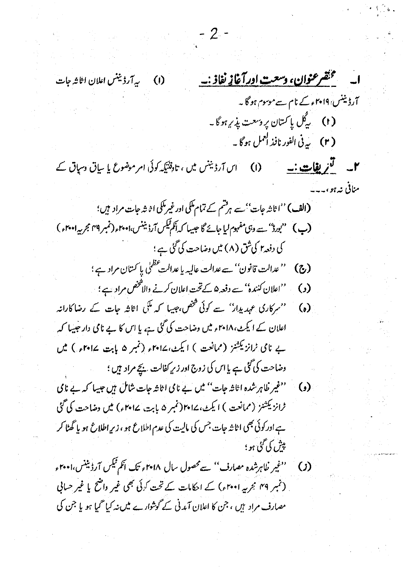- 2 -متقسر عنوان، وسعت ادرآغاز نفاذ :-(I) سے آرڈیننس اعلان اثاثہ جات آرڈینٹس ہے۔ ۲۰۱۹ء کے نام سےموسوم ہو گا۔ ( t ) پەڭل يا *كىت*ان پروسعت پذىر ہو گا ۔ ( r ) \_ سيرفي الفور نافذ العمل ہو گا ۔ ۲\_ گزی<u>فات:-</u> (۱) اس آرڈینس میں ، تاوفتیکہ کوئی امر موضوع یا ساتی وسپاق کے منافی نه ہو ، (الف) ''اڻاشہ جات''ہے ہرفشم کے تمام ملکی اور غیرملکی اڻاشہ جات مراد ہیں؛ (پ) "بورڈ" <sub>سے ون</sub>ی مفہوم لیا جائے گا جیسا کہ اَنگم قیکس آرڈیننس،امع <sub>ا</sub> (نمبر ۲۹ مجر یہ ۲۰۰۱ء ) کی دفعہ اِ کی شق (۸) میں وضاحت کی گئی ہے ؛ (ج) '' عدالت قانون'' سے عدالت عالیہ یا عدالت عظمٰی پا کستان مراد ہے ؛ (و) من اعلان کنندہ'' سے دفعہ ۵ کے تحت اعلان کرنے والاتحص مراد ہے ؛ ۔ ''سرکاری عہدیدار'' سے کوئی <sup>شخص</sup>،جیبا کہ مک<sub>ی</sub> اثاثہ جات کے رضاکارانہ  $\omega$ اعلان کے ایکٹ،۱۸ پیس وضاحت کی گئی ہے، یا اس کا بے نامی دار جیپا کہ بے نامی ٹرانزیکشنز (ممانعت ) ایکٹ، ۱۷۰۲ء (تمبر ۵ بابت ۱۳۰۲ء ) میں وضاحت کی گئی ہے یا اس کی زوج اور زیر کفالت بچے مراد ہیں ؛ ۔ ''غیر ظاہر شدہ اثاثہ جات'' میں بے نامی اثاثہ جات شامل ہیں جیسا کہ بے نامی (c) ٹرانزیکشنز (ممانعت ) ایکٹ، ۱۷۰۱ (نمبر ۵ بابت، ۱۰۲۷ء) میں دھاحت کی گئی ہے اور کوئی بھی اثاثہ جات جس کی مالیت کی عدم اطلاع ہو ، زیرِ اطلاع ہو یا گھٹا کر يېش کې گڼې بو ؛ (ز) میں منفیر خلاہرشدہ مصارف<sup>ی ''</sup> سے محصول سال ۲۰۱۸ء تک انکم ٹیکس آرڈیننس،ا۲۰۰<sub>۴ء</sub> (نمبر ۴۹ ہجرمیہ ۲۰۰۱ء) کے احکامات کے تحت کوئی بھی غیر واضح یا غیر حسابی مصارف مراد ہیں ، جن کا اعلان آمدنی کے گوشوارے میں نہ کیا گیا ہو یا جن کی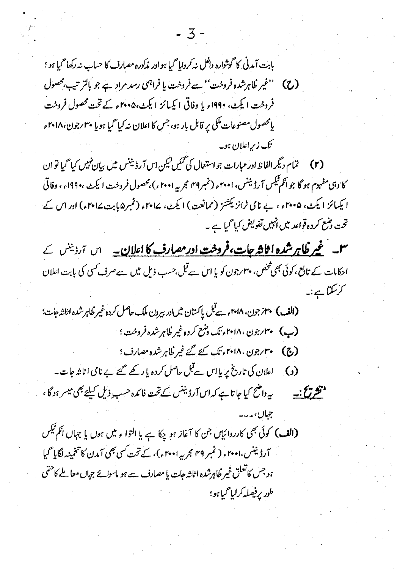بابت آمدنی کا گوشواره داخل نه کردایا گیا ہو اور مذکوره مصارف کا حساب نہ رکھا گیا ہو ؛ (ح) ''غیر ظاہرشدہ فروخت'' سے فروخت یا فراہمی رسد مراد ہے جو بالتر تیپ،محصول فروخت ایکٹ، ۱۹۹۰ء یا وفاقی ایکیائز ایکٹ،۴۰۰۵ء کے تحت محصول فروخت یامحصول مصنوعات مکی پر قابل بار ہو، جس کا اعلان نہ کیا گیا ہویا م<sup>ہ</sup>ارجون،۱۸ *۲۰* ء تک زیراعلان ہو۔

(۲) تمام دیگر الفاظ ادر عبارات جواستعال کی گئیں کیکن اس آرڈیننس میں بیان نہیں کیا گیا تو ان کا دہی مفہوم ہو گا جو انگم ٹیکس آرڈیننس، ۲۰۰۱ء (نمبر۳۹ مجربہ ۲۰۰۱ء)،محصول فروخت ایکٹ ،۱۹۹۰ء ، وفاقی ا یکسائز ایکٹ، ۲۰۰۵ء، بے نامی ٹرانزیکشنز (ممانعت) ایکٹ، ۱۰۲۰ء (نمبر۵بابت ۱۰۲۰ء) اور اس کے تحت وضع کردہ قواعد میں انہیں تفویض کیا گیا ہے ۔

**۳۔ غیر ظاہر شدہ اثاثہ جات،فروخت اور مصارف کا اعلان۔** اس آرڈینس کے ادکامات کے تابع، کوئی بھی تخص، پہرجون کو یا اس سے قبل،حسب ذیل میں سے صرف کسی کی بابت اعلان کر سکتا ہے :۔

(الف) پہنز جون، ۱۸ پہم سے قبل پاکستان میںادر بیرون ملک حاصل کردہ غیر طاہر شدہ اثاثہ جات؛ (ب) ۳۰/جون ،۱۸ ۲۰ ایمک دشع کرده غیر طاهرشده فروخت ؛ (ج) ۴۰/جون، ۲۰۱۸ء تک کئے غیر ظاہر شدہ مصارف؛ (د) اعلان کی تاریخ پر یا اس سے قبل حاصل کردہ یا رکھے گئے ہے نامی اثاثہ جات۔

**'تشریح'۔۔** یہ یہ دامنح کیا جاتا ہے کہ اس آرڈیننس کے تحت فائدہ حسب ِ ذیل کیلئے بھی میسر ہو گا ،

(الف) کوئی بھی کارروائیاں جن کا آغاز ہو چکا ہے یا التوا ء میں ہوں یا جہاں انکم ٹیکس آرڈیننس،ا۴۰۰، ( نمبر ۴۹ مجربہ ۲۰۰۱ء)، کے تحت کسی بھی آمدن کا تخمینہ لگایا گیا ہوجس کاتعلق غیر ظاہرشدہ اثاثہ جات یا مصارف سے ہو ماسوائے جہاں معاملے کاحتمی طور پرفیصله کرلیا گیا ہو؛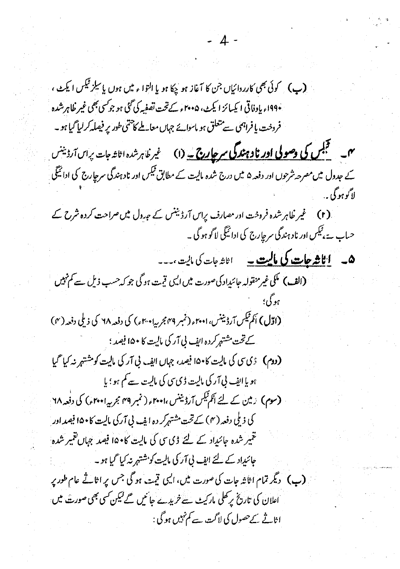(پ) کوئی بھی کارردائیاں جن کا آغاز ہو چکا ہو یا التواء میں ہوں یا سلز قیکس ایکٹ ، ۱۹۹۰ء بادفاتی ایکسائز ایکٹ، ۲۰۰۵ء کے تحت تصفیہ کی گئی ہو جوکسی بھی غیر ظاہرشدہ فروخت یا فراہمی سے متعلق ہو ماسوائے جہاں معاملے کا حتمی طور پر فیصلہ کر لیا گیا ہو۔ میں سمجی<mark>س کی وصولی اور نادہندگی سرچار ہے۔</mark> (۱) غیر ظاہر شدہ اثاثہ جات پراس آرڈینس کے جدول میں مصرحہ شرحوں اور دفعہ ۵ میں درج شدہ مالیت کے مطابق ٹیکس اور نادہندگی سرحارج کی ادائیگی لاگوېوگې . (۲) گیر ظاہر شدہ فروخت ادر مصارف پراس آرڈینس کے ج<sub>د</sub>ول میں صراحت کردہ شرح کے حساب ہے، ٹیکس اور ناد ہندگی سرحاِرج کی ادائیگی لاگو ہو گی ۔ **ھ۔ <u>اٹاشہ جات کی مالیت ۔</u> ا**ٹاشہات کی مالیت ،۔۔۔ (الف) مکی غیرمنقولہ جائیداد کی صورت میں ایسی قیمت ہوگی جو کہ حسب ذیل ہے کم نہیں (ا**وّل)** اَکم<sup>قی</sup>س آرڈیننس، ۲۰۰۱ء (نمبر ۳۹ مجربیا۲۰۰۰ء) کی دفعہ ۲۸ کی ذیلی دفعہ (۴) کےتحت مشتہر کردہ ایف لی آر کی مالیت کا ۱۵۰ فیصد ؛ (دوم) ڈی سی کی مالیت کا ۱۵۰ فیصد، جہاں اپنیہ، ٹی آر کی مالیت کو مشتہر نہ کیا گیا ہو یا ایف پی آر کی مالیت ڈی سی کی مالیت سے کم ہو ؛ یا (سوم) ارمین کے لئے اَنکم ٹیکس آرڈیننس ،ا۴۰۰؍ ( نمبر ۴۹ بجربہ ا۲۰۰ ء) کی دفعہ ۲۸ ا کی ذیلی دفعہ (۴) کے تحت مشتہرکر دہ اپنے پی آرکی مالیت کا ۱۵۰ فیصد اور نتمیر شدہ جائیداد کے لئے ڈی سی کی مالیت کام ۱۵۰ فیصد جہاں تقییر شدہ حائنداد کے لئے اپنے لی آر کی مالیت کو شتہر نہ کیا گیا ہو۔ (ب) دیگر تمام اثاثہ جات کی صورت میں، ایسی قیمت ہو گی جس پر اثاثے عام طور پر اعلان کی تاریخ پر حلی مارکیٹ سے خریدے جائیں گے لیکن کسی بھی صورت میں اثاثے کےحصول کی لاگت ہے کم نہیں ہو گی :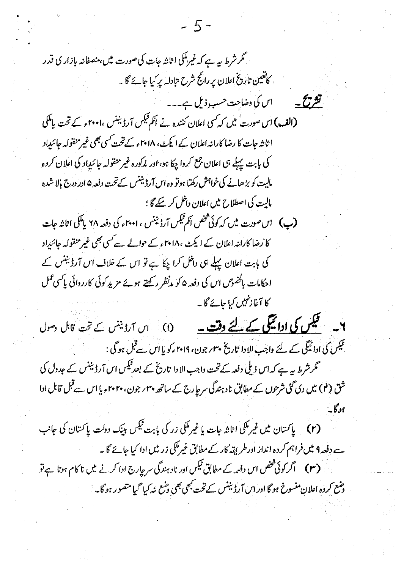$-5 -$ گر شرط سے ہے کہ غیرملکی اثاثہ جات کی صورت میں،منصفانہ بازار کی قدر کاتعین تاریخ اعلان پر رانج شرح تبادلہ پر کیا جائے گا ۔ اس کی وضاحت حسب ذیل ہے۔۔۔ قشر تنتشح ب (الف) اس صورت میں کہ کسی اعلان کنندہ نے انکم قبیس آرڈیننس ،۲۰۰۱ء کے تحت پامکی ا ثاثہ جات کا رضا کارانہ اعلان کے ایکٹ، ۲۰۱۸ء کے تحت کسی بھی غیر منقولہ جائیداد کی بابت پہلے ہی اعلان جمع کردا چکا ہو، اور مذکورہ غیر منقولہ جائنداد کی اعلان کردہ مالیت کو بڑھانے کی خواہش رکھتا ہوتو وہ اس آرڈیننس کےتحت دفعہ ۵ اور درج بالا شدہ مالیت کی اصطلاح میں اعلان داخل کر کیے گا ؛ (پ) اس صورت میں کہ کوئی شخص انکم ٹیکس آرڈیننس ، ۲۰۰۱ء کی دفعہ ۲۸ پامکی اثاثہ جات کا رضا کارانہ اعلان کے ایکٹ ،۱۸ا۲ء کے حوالے سے کسی بھی غیر منقولہ جائیداد کی بابت اعلان پہلے ہی داخل کراچکا ہے تو اس کے خلاف اس آرڈینس کے احکامات ہاکھوس اس کی دفعہ ۵ کو م*دنظر رکھتے ہوئے مزید ک*وئی کارروائی پاکسی عمل کا آغاز *نہیں کی*ا جائے گا ۔ ۲۔ می<u>کس کی ادائیگی کے لئے وقت ۔</u> (۱) اس آرڈینس کے تحت قابل دسول فیکس کی ادائیگی کے لئے واجب الادا تاریخ ۳۰ بر جون، ۲۰۱۹ء کو یا اس سے قبل ہو گی : گر شرط پیہ ہے کہ اس ذیلی دفعہ کے تحت داجب الا دا تاریخ کے بعد ٹیکس اس آر ڈیننس کے عدول کی شق (<sup>4</sup>) میں دی گئی شرحوں کے مطابق ناد ہندگی سرحارج کے ساتھ پہن جون، پہن ہوا اس سے قبل قابل ادا (۲) پاکستان میں غیر ملکی اثاثہ جات یا غیر ملکی زر کی بابت فیکس بینک دولت پاکستان کی جانب سے دفعہ ۹ میں فراہم کردہ انداز ادرطر یقہ کار کے مطابق غیرمکی زر میں ادا کیا جائے گا۔ (۳) اگر کوئی شخص اس دفعہ کے مطابق ٹیکس اور ناد ہندگی سرحارج ادا کرنے میں ناکام ہوتا ہے تو و*منع کر*دہ اعلان منسوخ ہو گا اور اس آرڈیننس کے تحت *بھی بھی* وہنع نہ کیا <sup>ح</sup>میا متصور ہو گا۔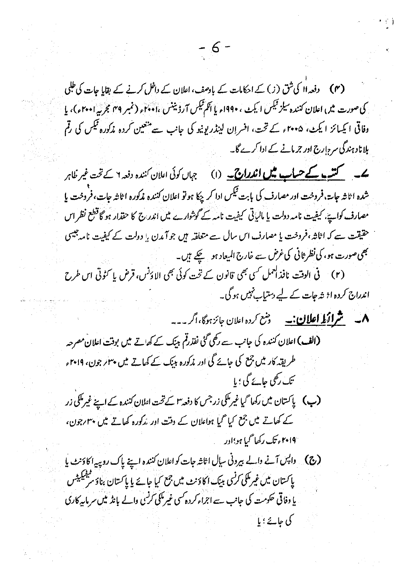(۴) دفعہ اا کی شق (ز) کے احکامات کے بادصف، اعلان کے داخل کرنے کے بقایا جات کی طبلی کی صورت میں اعلان کنندہ سلز قیکس ایجٹ ، ۱۹۹۰؍ یا اکم ٹیکس ارڈیننس ،ا ۲۰۰۰؍ (نمبر ۳۹ مجربہ ا۲۰۰۰؍)، یا وفاقی ایکسائز ایکٹ، ۲۰۰۵ء کے تحت، افسران لینڈریونیو کی جانب سے منعین کردہ مذکورہ <sup>قی</sup>س کی رقم بلانا دہندگی سرح ارج اور جرمانے کے ادا کرے گا۔

**ے۔ گنسے کے حساب میں اندراج ۔** (۱) جہاں کوئی اعلان کنندہ دفعہ 1 کے تحت غیر ظاہر شده ا ثاثه جاسة، فروخت اور مصارف کی بابت تیکس ادا کر چکا ہو تو اعلان کننده مذکوره ا ثاثه جات، فروخت یا مصارف کواپیے، کیفیت نامہ دولت یا مالیاتی کیفیت نامہ کے گوشوارے میں اندر ج کا حقدار ہو گا قطع نظر اس حقیقت سے کہ اثاثہ،فروخت یا مصارف اس سال سے متعلقہ ہیں جو آمدن یا دولت کے کیفیت نامہ جیسی بھی صورت ہو، کی نظر ثانی کی غرض سے خارج المیعاد ہو گیے ہیں۔ (۲) فی الوقت نافذاکعمل کسی بھی قانون کے تحت کوئی بھی الاؤنس، قرض یا کثوثی اس طرح

اندراج کردہ اڑ شہ جات کے لیے دستیاب نہیں ہو گی۔

**۸۔ شراؤ! اعلان:۔** دسع کردہ اعلان جائزہوگا،اگر۔۔۔

(الف) اعلان کنندہ کی جانب سے رکھی گئی نفذرتم بینک کے کھاتے میں بوقت اعلان مصرحہ طریقہ کار میں جمع کی جائے گی اور مذکورہ بینک کے کھاتے میں پہلے جون، 19 ہیں تک رکھی جائے گی ؛ یا

(ب) پاکستان میں رکھا گیا غیرملکی زرجس کا دفعہ ۳ کے تحت اعلان کنندہ کے اپنے غیرملکی زر کے کھاتے میں جمع کیا گیا ہواعلان کے وقت اور مذکورہ کھاتے میں پہرجون، '۲۰۱۹ء تک رکھا گیا ہو'ادر

(ج) داپس آنے والے بیرونی سال اثاثہ جات کو اعلان کنندہ اپنے پاک روپیہ اکاؤنٹ یا پاکستان <sup>میں</sup> غیرمکی *کرن*ی بینک اکاؤنٹ میں جمع کیا جائے یا پاکستان بناؤ م<sup>فیقیکی</sup>یٹس یا وفاقی حکومت کی جانب سے اجراء کر دہ کسی غیر کلی کرنسی والے بانڈ میں سرمایہ کاری کی جائے ؛ یا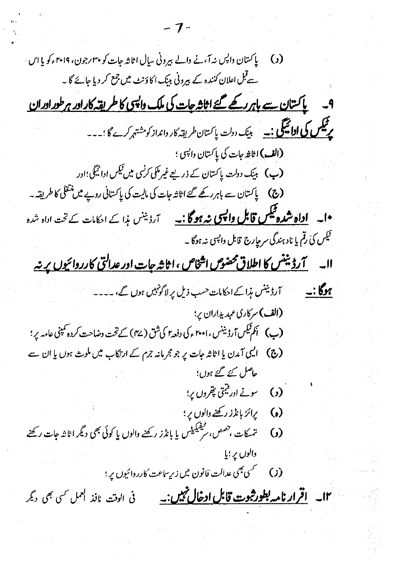$7 -$ (د) پاکستان داپس نہ آ،نے دالے بیرونی سال اثاثہ جات کو پہ<sub>ا</sub> رجون، ۲۰۱۹ء کو یا اس سے قبل اعلان کنندہ کے بیرونی بینک اکاؤنٹ میں جمع کر دیا جائے گا ۔ <u>پاکستان سے باہرر کھے گئے اثاثہ جات کی ملک دائیں کا طریقہ کارادر ہرطورادران</u> مر قلس کی **ادائیگی :۔** بینک دولت پاکستان طریقه کار وانداز کو مشتہر کرے گا ؛۔۔۔ **(الف)** اڻاغ جات کي پاڪتان دا<sup>پس</sup>ي ؛ (پ) بینک دولت پاکستان کے ذریعے غیر مکی کر<sup>نس</sup>ی میں قیکس ادائیگی؛اور **(ج) پاکسان سے باہررکھے گئے اثاثہ جات کی مالیت کی پاکسانی روپے میں منتقلی کا طریقہ۔** •ا۔ <mark>اداہ شدہ ٹیکس قابل واپسی نہ ہو گا :۔</mark> آرڈینس ہذا کے احکامات کے تحت اداہ شدہ گھیس کی رقم یا نادہندگی سرحارج قابل داپسی نہ ہوگا ۔ (الف) سرکاری عہد یداران پر؛ (ج) اکیپی آمدن یا اثاثہ جات پر جو مجرمانہ جرم کے ارتکاب میں ملوث ہوں یا ان سے حاصل کئے گئے ہوں' (و) سوسے ا<sub>ور</sub>قیمی پھروں پر؛ (ه) پرائز بانڈز رکھنے والوں پر ؛ (و) تمسكات ، <sup>حصص ، سم</sub>فيكيلس يا بانذز ركضے والوں يا كوئى بھى ديگر اثاثہ جات ركضے</sup> والوں پر ؛پا ۱۲۔ اقرار نامہ ب<del>طور ثبوت قابل ادخال تمیں :</del> فی الوقت نافذ ا<sup>ممل ک</sup>ی بھی دیگر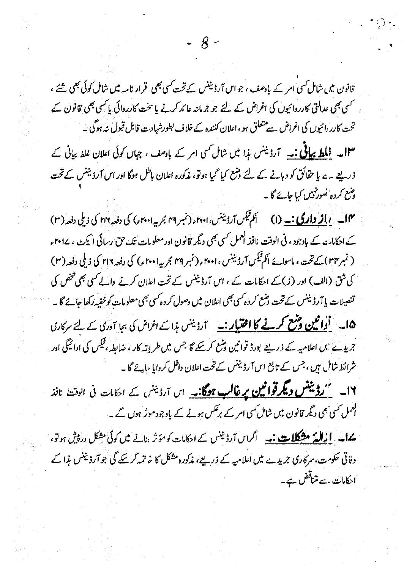قانون میں شامل کسی امر کے بادصف ، جو اس آرڈیننس کے تحت کسی بھی قرار نامہ میں شامل کوئی بھی شئے ، سمسی بھی عدالتی کارردائیوں کی اغراض کے لئے جو جرمانہ عائد کرنے یا سخت کارردائی یا کسی بھی قانون کے تحت کارر انیوں کی اغراض سے متعلق ہو ، اعلان کنندہ کے خلاف بطورشہادت قابل قبول نہ ہوگی ۔

 $\mathcal{R}$ 

**۱۳۔ <u>فلط پیاٹی :۔</u> آرڈینس ہذا میں شامل کسی امر کے باد**صف ، جہاں کوئی اعلان غلط بیانی کے ذریعے ہے یا حقائق کو دبانے کے لئے وشع کیا گیا ہوتو، مذکورہ اعلان با<sup>ط</sup>ل ہوگا اور اس آرڈیننس کے تحت وشع کردہ نصور نہیں کیا جائے گا۔

۱۴ \_ <u>بر**از داری : \_</u> (۱) \_ أَكم تَيْ**سِ آرڈيننس، ۲۰۰۱ , (نمبر ۴۹ مجربہ ۲۰۰۱) كى دفعہ ۲۱۶ كى دىلى دفعہ (۳)</u> کے احکامات کے باوجود ، فی الوقت ،افذ العمل کسی بھی دیگر قانون اور معلومات تک حق رسائی ایکٹ ، ۱۷۰۲ء ( نمبر ۲۴) کے تحت، ماسوائے انکم ٹیکس آرڈیننس ، ۲۰۰۱ء (نمبر ۴۹ مجربہ ا۲۰۰۱ء) کی دفعہ ۲۱۶ کی ذیلی دفعہ ( ۳) کی شق (الف) اور (ز) کے احکامات کے ، اس آرڈیننس کے تحت اعلان کرنے والے کسی بھی فخص کی تفصیلات پا آرڈیننس کےتحت وشع کردہ کسی بھی اعلان میں وصول کردہ کسی بھی معلومات کوخفیہ رکھا جائے گا۔ 6ا۔ <mark>'اُوائین وشع کرنے کا اختیار :۔</mark> آرڈینس ہ<sub>وا</sub> کے اغراض کی بجا آوری کے لئے سرکاری جریدے 'بں اعلامیہ کے ذریعے بورڈ قوانین وشع کر بچے گا جس میں طریقہ کار ، ضابطہ ، ٹیکس کی ادائیگی اور شرائط شامل ہیں ، جس کے تابع اس آرڈیننس کے تحت اعلان داخل کروایا مہانے گا۔

۱۶۔ <u>می**روئینس دیگر قوانین پر غالب ہوگا:۔** اس آرڈینس کے احکامات فی الوقت نافذ</u> ا<mark>ن</mark>عمل *کسی بھی دیگر* قانون میں شامل *کسی امر کے برنکس ہونے کے* باوجود موٹر ہوں گے۔

**یےا۔ <u>ازالہٗ مشکلات:۔</u> اگراں آرڈینس کے ایکامات کومؤثر بنانے میں کوئی مشکل در پیش ہوتو،** وفاتی حکومت، سرکاری جریدے میں اعلامیہ کے ذریعے، مذکورہ مشکل کا خاتمہ کرسکے گی جو آرڈیننس مذا کے احکامات ۔سے متناقض ہے۔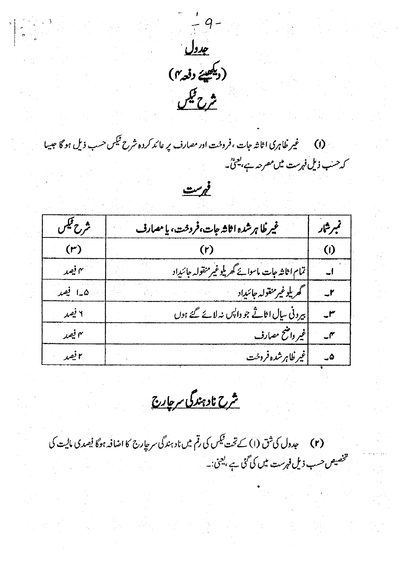

an an<br>An Aire anns an Aire anns an Aire an Aire an Aire an Aire an Aire an Aire an Aire an Aire an Aire an Aire an A

۰ **(۱) س**فیمر ظاہری اثاثہ جات ،فروخت اور مصارف پر عائد کردہ شرح ٹیکس حسب ذیل ہو گا جیسا كەھىپ **ذيل فہرست میں مصرحہ ہے، یعنی ۔**  $rac{cos\theta}{1}$ 

| شرح فيكن | غيرظا هرشده اثاثه جات،فردخت، يا مصارف            | تمبر شار |
|----------|--------------------------------------------------|----------|
| (r)      |                                                  | (I)      |
| یه فصد   | تمام اثاثه جات ماسوائے گھر پلوغیر منقولہ جائنداد |          |
| هبا فصد  | گھريلوغير منقولہ جائيداد                         |          |
| ۲ فیمبر  | بیرونی سال اثاثے جو داپس نہ لائے گئے ہوں         |          |
| ۴ فیصد   | غیر داختخ مصارف                                  | ۴.       |
| ۲ فیصر   | غیر ظاہرشدہ فروخت                                | ۵.       |

<u>شرح نادہندگی سرحارج</u>

(r) عبدول کی ثق (۱) کے تحت قیکس کی رقم میں ناد ہندگی سر جارج کا اضافہ ہوگا فیصدی مالیت کی شخصیص حسب ذیل فہرست میں کی گئی ہے ، <u>بعمیٰ</u> :۔